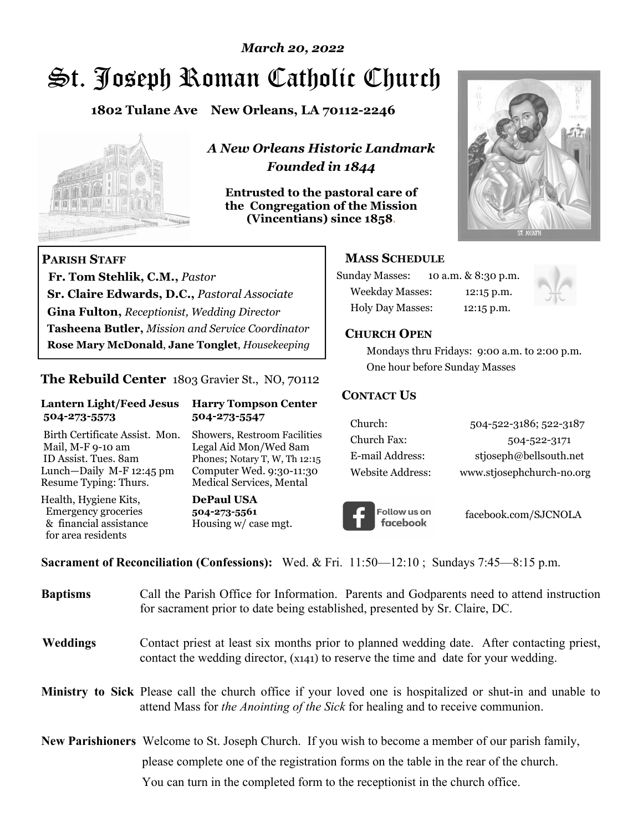# *March 20, 2022*

# St. Joseph Roman Catholic Church

**1802 Tulane Ave New Orleans, LA 70112-2246**



 **Fr. Tom Stehlik, C.M.,** *Pastor* 

**Sr. Claire Edwards, D.C.,** *Pastoral Associate* **Gina Fulton,** *Receptionist, Wedding Director* 

**Tasheena Butler,** *Mission and Service Coordinator* **Rose Mary McDonald**, **Jane Tonglet**, *Housekeeping*

**The Rebuild Center** 1803 Gravier St., NO, 70112

**Lantern Light/Feed Jesus Harry Tompson Center** 

Birth Certificate Assist. Mon. Showers, Restroom Facilities Mail, M-F 9-10 am Legal Aid Mon/Wed 8am ID Assist. Tues. 8am Phones; Notary T, W, Th 12:15 Lunch—Daily M-F 12:45 pm Computer Wed. 9:30-11:30 Resume Typing: Thurs. Medical Services, Mental

 **504-273-5573 504-273-5547** 

Health, Hygiene Kits, **DePaul USA**  Emergency groceries **504-273-5561** & financial assistance Housing w/ case mgt.

**PARISH STAFF**

for area residents

*A New Orleans Historic Landmark Founded in 1844* 

**Entrusted to the pastoral care of the Congregation of the Mission (Vincentians) since 1858**.



### **MASS SCHEDULE**

| <b>Sunday Masses:</b>  | 10 a.m. & 8:30 p.m. |
|------------------------|---------------------|
| <b>Weekday Masses:</b> | $12:15$ p.m.        |
| Holy Day Masses:       | 12:15 p.m.          |



#### **CHURCH OPEN**

 Mondays thru Fridays: 9:00 a.m. to 2:00 p.m. One hour before Sunday Masses

#### **CONTACT US**

| Church:          | 504-522-3186; 522-3187    |
|------------------|---------------------------|
| Church Fax:      | 504-522-3171              |
| E-mail Address:  | stjoseph@bellsouth.net    |
| Website Address: | www.stjosephchurch-no.org |



facebook.com/SJCNOLA

**Sacrament of Reconciliation (Confessions):** Wed. & Fri. 11:50—12:10 ; Sundays 7:45—8:15 p.m.

| <b>Baptisms</b> | Call the Parish Office for Information. Parents and Godparents need to attend instruction<br>for sacrament prior to date being established, presented by Sr. Claire, DC.                                   |
|-----------------|------------------------------------------------------------------------------------------------------------------------------------------------------------------------------------------------------------|
| <b>Weddings</b> | Contact priest at least six months prior to planned wedding date. After contacting priest,<br>contact the wedding director, (x141) to reserve the time and date for your wedding.                          |
|                 | <b>Ministry to Sick</b> Please call the church office if your loved one is hospitalized or shut-in and unable to<br>attend Mass for <i>the Anointing of the Sick</i> for healing and to receive communion. |
|                 | <b>New Parishioners</b> Welcome to St. Joseph Church. If you wish to become a member of our parish family,                                                                                                 |
|                 | please complete one of the registration forms on the table in the rear of the church.                                                                                                                      |
|                 | You can turn in the completed form to the reception ist in the church office.                                                                                                                              |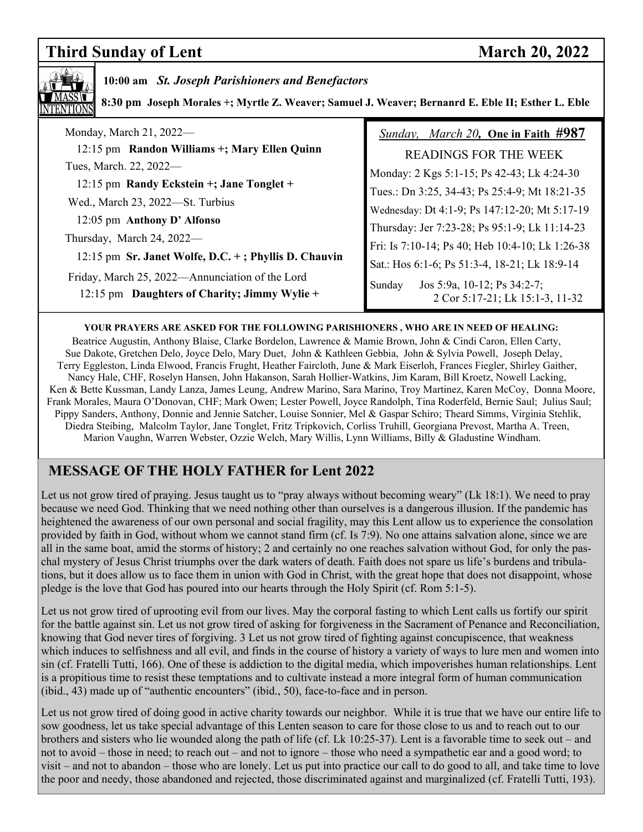# **Third Sunday of Lent** March 20, 2022



## **10:00 am** *St. Joseph Parishioners and Benefactors*

 **8:30 pm Joseph Morales +; Myrtle Z. Weaver; Samuel J. Weaver; Bernanrd E. Eble II; Esther L. Eble**

| Monday, March 21, 2022—                                                                                                                                                              | Sunday, March 20, One in Faith #987                                      |
|--------------------------------------------------------------------------------------------------------------------------------------------------------------------------------------|--------------------------------------------------------------------------|
| 12:15 pm Randon Williams +; Mary Ellen Quinn                                                                                                                                         | <b>READINGS FOR THE WEEK</b>                                             |
| Tues, March. 22, 2022-                                                                                                                                                               | Monday: 2 Kgs 5:1-15; Ps 42-43; Lk 4:24-30                               |
| 12:15 pm Randy Eckstein +; Jane Tonglet +                                                                                                                                            | Tues.: Dn 3:25, 34-43; Ps 25:4-9; Mt 18:21-35                            |
| Wed., March 23, 2022—St. Turbius                                                                                                                                                     | Wednesday: Dt 4:1-9; Ps 147:12-20; Mt 5:17-19                            |
| 12:05 pm Anthony D' Alfonso                                                                                                                                                          | Thursday: Jer 7:23-28; Ps 95:1-9; Lk 11:14-23                            |
| Thursday, March 24, 2022—<br>12:15 pm Sr. Janet Wolfe, D.C. +; Phyllis D. Chauvin<br>Friday, March 25, 2022—Annunciation of the Lord<br>12:15 pm Daughters of Charity; Jimmy Wylie + | Fri: Is 7:10-14; Ps 40; Heb 10:4-10; Lk 1:26-38                          |
|                                                                                                                                                                                      | Sat.: Hos 6:1-6; Ps 51:3-4, 18-21; Lk 18:9-14                            |
|                                                                                                                                                                                      | Jos 5:9a, 10-12; Ps 34:2-7;<br>Sunday<br>2 Cor 5:17-21; Lk 15:1-3, 11-32 |

#### **YOUR PRAYERS ARE ASKED FOR THE FOLLOWING PARISHIONERS , WHO ARE IN NEED OF HEALING:**

 Beatrice Augustin, Anthony Blaise, Clarke Bordelon, Lawrence & Mamie Brown, John & Cindi Caron, Ellen Carty, Sue Dakote, Gretchen Delo, Joyce Delo, Mary Duet, John & Kathleen Gebbia, John & Sylvia Powell, Joseph Delay, Terry Eggleston, Linda Elwood, Francis Frught, Heather Faircloth, June & Mark Eiserloh, Frances Fiegler, Shirley Gaither, Nancy Hale, CHF, Roselyn Hansen, John Hakanson, Sarah Hollier-Watkins, Jim Karam, Bill Kroetz, Nowell Lacking, Ken & Bette Kussman, Landy Lanza, James Leung, Andrew Marino, Sara Marino, Troy Martinez, Karen McCoy, Donna Moore, Frank Morales, Maura O'Donovan, CHF; Mark Owen; Lester Powell, Joyce Randolph, Tina Roderfeld, Bernie Saul; Julius Saul; Pippy Sanders, Anthony, Donnie and Jennie Satcher, Louise Sonnier, Mel & Gaspar Schiro; Theard Simms, Virginia Stehlik, Diedra Steibing, Malcolm Taylor, Jane Tonglet, Fritz Tripkovich, Corliss Truhill, Georgiana Prevost, Martha A. Treen, Marion Vaughn, Warren Webster, Ozzie Welch, Mary Willis, Lynn Williams, Billy & Gladustine Windham.

# **MESSAGE OF THE HOLY FATHER for Lent 2022**

Let us not grow tired of praying. Jesus taught us to "pray always without becoming weary" (Lk 18:1). We need to pray because we need God. Thinking that we need nothing other than ourselves is a dangerous illusion. If the pandemic has heightened the awareness of our own personal and social fragility, may this Lent allow us to experience the consolation provided by faith in God, without whom we cannot stand firm (cf. Is 7:9). No one attains salvation alone, since we are all in the same boat, amid the storms of history; 2 and certainly no one reaches salvation without God, for only the paschal mystery of Jesus Christ triumphs over the dark waters of death. Faith does not spare us life's burdens and tribulations, but it does allow us to face them in union with God in Christ, with the great hope that does not disappoint, whose pledge is the love that God has poured into our hearts through the Holy Spirit (cf. Rom 5:1-5).

Let us not grow tired of uprooting evil from our lives. May the corporal fasting to which Lent calls us fortify our spirit for the battle against sin. Let us not grow tired of asking for forgiveness in the Sacrament of Penance and Reconciliation, knowing that God never tires of forgiving. 3 Let us not grow tired of fighting against concupiscence, that weakness which induces to selfishness and all evil, and finds in the course of history a variety of ways to lure men and women into sin (cf. Fratelli Tutti, 166). One of these is addiction to the digital media, which impoverishes human relationships. Lent is a propitious time to resist these temptations and to cultivate instead a more integral form of human communication (ibid., 43) made up of "authentic encounters" (ibid., 50), face-to-face and in person.

Let us not grow tired of doing good in active charity towards our neighbor. While it is true that we have our entire life to sow goodness, let us take special advantage of this Lenten season to care for those close to us and to reach out to our brothers and sisters who lie wounded along the path of life (cf. Lk 10:25-37). Lent is a favorable time to seek out – and not to avoid – those in need; to reach out – and not to ignore – those who need a sympathetic ear and a good word; to visit – and not to abandon – those who are lonely. Let us put into practice our call to do good to all, and take time to love the poor and needy, those abandoned and rejected, those discriminated against and marginalized (cf. Fratelli Tutti, 193).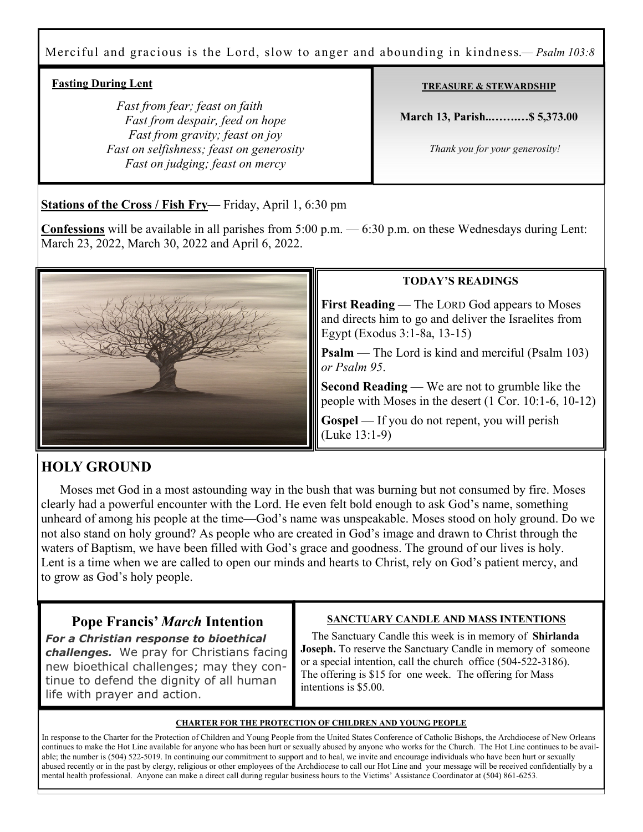## Merciful and gracious is the Lord, slow to anger and abounding in kindness.*— Psalm 103:8*

### **Fasting During Lent**

 *Fast from fear; feast on faith Fast from despair, feed on hope Fast from gravity; feast on joy Fast on selfishness; feast on generosity Fast on judging; feast on mercy* 

#### **TREASURE & STEWARDSHIP**

**March 13, Parish..…….…\$ 5,373.00** 

 *Thank you for your generosity!* 

**Stations of the Cross / Fish Fry**— Friday, April 1, 6:30 pm

**Confessions** will be available in all parishes from 5:00 p.m. — 6:30 p.m. on these Wednesdays during Lent: March 23, 2022, March 30, 2022 and April 6, 2022.



#### **TODAY'S READINGS**

**First Reading** — The LORD God appears to Moses and directs him to go and deliver the Israelites from Egypt (Exodus 3:1-8a, 13-15)

**Psalm** — The Lord is kind and merciful (Psalm 103) *or Psalm 95*.

**Second Reading** — We are not to grumble like the people with Moses in the desert (1 Cor. 10:1-6, 10-12)

**Gospel** — If you do not repent, you will perish (Luke 13:1-9)

# **HOLY GROUND**

 Moses met God in a most astounding way in the bush that was burning but not consumed by fire. Moses clearly had a powerful encounter with the Lord. He even felt bold enough to ask God's name, something unheard of among his people at the time—God's name was unspeakable. Moses stood on holy ground. Do we not also stand on holy ground? As people who are created in God's image and drawn to Christ through the waters of Baptism, we have been filled with God's grace and goodness. The ground of our lives is holy. Lent is a time when we are called to open our minds and hearts to Christ, rely on God's patient mercy, and to grow as God's holy people.

# **Pope Francis'** *March* **Intention**

*For a Christian response to bioethical challenges.* We pray for Christians facing new bioethical challenges; may they continue to defend the dignity of all human life with prayer and action.

#### **SANCTUARY CANDLE AND MASS INTENTIONS**

 The Sanctuary Candle this week is in memory of **Shirlanda Joseph.** To reserve the Sanctuary Candle in memory of someone or a special intention, call the church office (504-522-3186). The offering is \$15 for one week. The offering for Mass intentions is \$5.00.

#### **CHARTER FOR THE PROTECTION OF CHILDREN AND YOUNG PEOPLE**

In response to the Charter for the Protection of Children and Young People from the United States Conference of Catholic Bishops, the Archdiocese of New Orleans continues to make the Hot Line available for anyone who has been hurt or sexually abused by anyone who works for the Church. The Hot Line continues to be available; the number is (504) 522-5019. In continuing our commitment to support and to heal, we invite and encourage individuals who have been hurt or sexually abused recently or in the past by clergy, religious or other employees of the Archdiocese to call our Hot Line and your message will be received confidentially by a mental health professional. Anyone can make a direct call during regular business hours to the Victims' Assistance Coordinator at (504) 861-6253.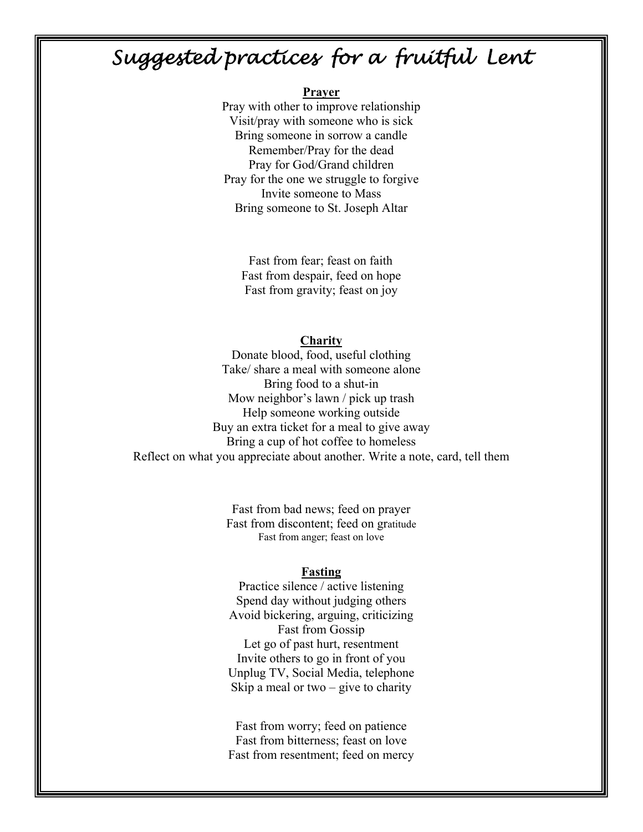# Suggested practices for a fruitful Lent

#### **Prayer**

Pray with other to improve relationship Visit/pray with someone who is sick Bring someone in sorrow a candle Remember/Pray for the dead Pray for God/Grand children Pray for the one we struggle to forgive Invite someone to Mass Bring someone to St. Joseph Altar

 Fast from fear; feast on faith Fast from despair, feed on hope Fast from gravity; feast on joy

#### **Charity**

Donate blood, food, useful clothing Take/ share a meal with someone alone Bring food to a shut-in Mow neighbor's lawn / pick up trash Help someone working outside Buy an extra ticket for a meal to give away Bring a cup of hot coffee to homeless Reflect on what you appreciate about another. Write a note, card, tell them

> Fast from bad news; feed on prayer Fast from discontent; feed on gratitude Fast from anger; feast on love

#### **Fasting**

Practice silence / active listening Spend day without judging others Avoid bickering, arguing, criticizing Fast from Gossip Let go of past hurt, resentment Invite others to go in front of you Unplug TV, Social Media, telephone Skip a meal or two  $-$  give to charity

Fast from worry; feed on patience Fast from bitterness; feast on love Fast from resentment; feed on mercy